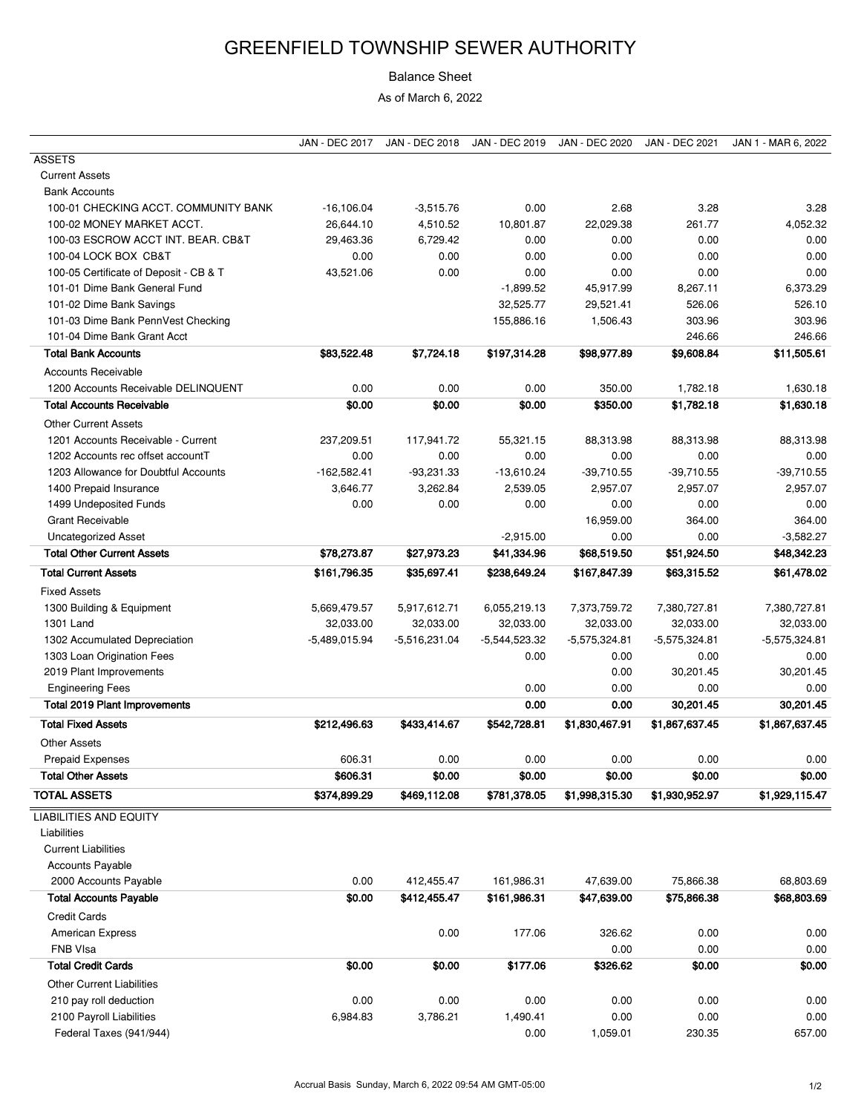## GREENFIELD TOWNSHIP SEWER AUTHORITY

## Balance Sheet

As of March 6, 2022

|                                        | <b>JAN - DEC 2017</b> | <b>JAN - DEC 2018</b> | JAN - DEC 2019  | <b>JAN - DEC 2020</b> | <b>JAN - DEC 2021</b> | JAN 1 - MAR 6, 2022 |
|----------------------------------------|-----------------------|-----------------------|-----------------|-----------------------|-----------------------|---------------------|
| <b>ASSETS</b>                          |                       |                       |                 |                       |                       |                     |
| <b>Current Assets</b>                  |                       |                       |                 |                       |                       |                     |
| <b>Bank Accounts</b>                   |                       |                       |                 |                       |                       |                     |
| 100-01 CHECKING ACCT. COMMUNITY BANK   | $-16,106.04$          | $-3,515.76$           | 0.00            | 2.68                  | 3.28                  | 3.28                |
| 100-02 MONEY MARKET ACCT.              | 26,644.10             | 4,510.52              | 10,801.87       | 22,029.38             | 261.77                | 4,052.32            |
| 100-03 ESCROW ACCT INT. BEAR. CB&T     | 29,463.36             | 6,729.42              | 0.00            | 0.00                  | 0.00                  | 0.00                |
| 100-04 LOCK BOX CB&T                   | 0.00                  | 0.00                  | 0.00            | 0.00                  | 0.00                  | 0.00                |
| 100-05 Certificate of Deposit - CB & T | 43,521.06             | 0.00                  | 0.00            | 0.00                  | 0.00                  | 0.00                |
| 101-01 Dime Bank General Fund          |                       |                       | $-1,899.52$     | 45,917.99             | 8,267.11              | 6,373.29            |
| 101-02 Dime Bank Savings               |                       |                       | 32,525.77       | 29,521.41             | 526.06                | 526.10              |
| 101-03 Dime Bank PennVest Checking     |                       |                       | 155,886.16      | 1,506.43              | 303.96                | 303.96              |
| 101-04 Dime Bank Grant Acct            |                       |                       |                 |                       | 246.66                | 246.66              |
| <b>Total Bank Accounts</b>             | \$83,522.48           | \$7,724.18            | \$197,314.28    | \$98,977.89           | \$9,608.84            | \$11,505.61         |
| <b>Accounts Receivable</b>             |                       |                       |                 |                       |                       |                     |
| 1200 Accounts Receivable DELINQUENT    | 0.00                  | 0.00                  | 0.00            | 350.00                | 1,782.18              | 1,630.18            |
| <b>Total Accounts Receivable</b>       | \$0.00                | \$0.00                | \$0.00          | \$350.00              | \$1,782.18            | \$1,630.18          |
| <b>Other Current Assets</b>            |                       |                       |                 |                       |                       |                     |
| 1201 Accounts Receivable - Current     | 237,209.51            | 117,941.72            | 55,321.15       | 88,313.98             | 88,313.98             | 88,313.98           |
| 1202 Accounts rec offset accountT      | 0.00                  | 0.00                  | 0.00            | 0.00                  | 0.00                  | 0.00                |
| 1203 Allowance for Doubtful Accounts   | $-162,582.41$         | $-93,231.33$          | $-13,610.24$    | $-39,710.55$          | $-39,710.55$          | $-39,710.55$        |
| 1400 Prepaid Insurance                 | 3,646.77              | 3,262.84              | 2,539.05        | 2,957.07              | 2,957.07              | 2,957.07            |
| 1499 Undeposited Funds                 | 0.00                  | 0.00                  | 0.00            | 0.00                  | 0.00                  | 0.00                |
| <b>Grant Receivable</b>                |                       |                       |                 | 16,959.00             | 364.00                | 364.00              |
| <b>Uncategorized Asset</b>             |                       |                       | $-2,915.00$     | 0.00                  | 0.00                  | $-3,582.27$         |
| <b>Total Other Current Assets</b>      | \$78,273.87           | \$27,973.23           | \$41,334.96     | \$68,519.50           | \$51,924.50           | \$48,342.23         |
|                                        |                       |                       |                 |                       |                       |                     |
| <b>Total Current Assets</b>            | \$161,796.35          | \$35,697.41           | \$238,649.24    | \$167,847.39          | \$63,315.52           | \$61,478.02         |
| <b>Fixed Assets</b>                    |                       |                       |                 |                       |                       |                     |
| 1300 Building & Equipment              | 5,669,479.57          | 5,917,612.71          | 6,055,219.13    | 7,373,759.72          | 7,380,727.81          | 7,380,727.81        |
| 1301 Land                              | 32,033.00             | 32,033.00             | 32,033.00       | 32,033.00             | 32,033.00             | 32,033.00           |
| 1302 Accumulated Depreciation          | $-5,489,015.94$       | $-5,516,231.04$       | $-5,544,523.32$ | -5,575,324.81         | $-5,575,324.81$       | $-5,575,324.81$     |
| 1303 Loan Origination Fees             |                       |                       | 0.00            | 0.00                  | 0.00                  | 0.00                |
| 2019 Plant Improvements                |                       |                       |                 | 0.00                  | 30,201.45             | 30,201.45           |
| <b>Engineering Fees</b>                |                       |                       | 0.00            | 0.00                  | 0.00                  | 0.00                |
| <b>Total 2019 Plant Improvements</b>   |                       |                       | 0.00            | 0.00                  | 30,201.45             | 30,201.45           |
| <b>Total Fixed Assets</b>              | \$212,496.63          | \$433,414.67          | \$542,728.81    | \$1,830,467.91        | \$1,867,637.45        | \$1,867,637.45      |
| <b>Other Assets</b>                    |                       |                       |                 |                       |                       |                     |
| Prepaid Expenses                       | 606.31                | 0.00                  | 0.00            | 0.00                  | 0.00                  | 0.00                |
| <b>Total Other Assets</b>              | \$606.31              | \$0.00                | \$0.00          | \$0.00                | \$0.00                | \$0.00              |
| <b>TOTAL ASSETS</b>                    | \$374,899.29          | \$469,112.08          | \$781,378.05    | \$1,998,315.30        | \$1,930,952.97        | \$1,929,115.47      |
| <b>LIABILITIES AND EQUITY</b>          |                       |                       |                 |                       |                       |                     |
| Liabilities                            |                       |                       |                 |                       |                       |                     |
| <b>Current Liabilities</b>             |                       |                       |                 |                       |                       |                     |
| <b>Accounts Payable</b>                |                       |                       |                 |                       |                       |                     |
|                                        | 0.00                  |                       |                 |                       |                       |                     |
| 2000 Accounts Payable                  |                       | 412,455.47            | 161,986.31      | 47,639.00             | 75,866.38             | 68,803.69           |
| <b>Total Accounts Payable</b>          | \$0.00                | \$412,455.47          | \$161,986.31    | \$47,639.00           | \$75,866.38           | \$68,803.69         |
| <b>Credit Cards</b>                    |                       |                       |                 |                       |                       |                     |
| <b>American Express</b>                |                       | 0.00                  | 177.06          | 326.62                | 0.00                  | 0.00                |
| FNB VIsa                               |                       |                       |                 | 0.00                  | 0.00                  | 0.00                |
| <b>Total Credit Cards</b>              | \$0.00                | \$0.00                | \$177.06        | \$326.62              | \$0.00                | \$0.00              |
| <b>Other Current Liabilities</b>       |                       |                       |                 |                       |                       |                     |
| 210 pay roll deduction                 | 0.00                  | 0.00                  | 0.00            | 0.00                  | 0.00                  | 0.00                |
| 2100 Payroll Liabilities               | 6,984.83              | 3,786.21              | 1,490.41        | 0.00                  | 0.00                  | 0.00                |
| Federal Taxes (941/944)                |                       |                       | 0.00            | 1,059.01              | 230.35                | 657.00              |